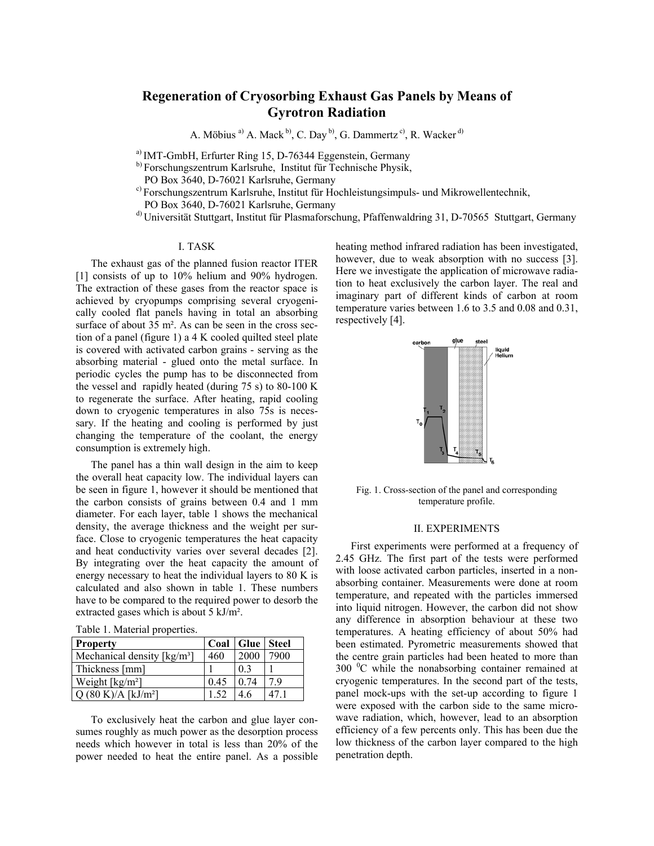# **Regeneration of Cryosorbing Exhaust Gas Panels by Means of Gyrotron Radiation**

A. Möbius <sup>a)</sup> A. Mack <sup>b)</sup>, C. Day <sup>b</sup>), G. Dammertz<sup>c)</sup>, R. Wacker <sup>d)</sup>

a) IMT-GmbH, Erfurter Ring 15, D-76344 Eggenstein, Germany

b) Forschungszentrum Karlsruhe, Institut für Technische Physik,

PO Box 3640, D-76021 Karlsruhe, Germany

c) Forschungszentrum Karlsruhe, Institut für Hochleistungsimpuls- und Mikrowellentechnik,

PO Box 3640, D-76021 Karlsruhe, Germany

d) Universität Stuttgart, Institut für Plasmaforschung, Pfaffenwaldring 31, D-70565 Stuttgart, Germany

## I. TASK

The exhaust gas of the planned fusion reactor ITER [1] consists of up to 10% helium and 90% hydrogen. The extraction of these gases from the reactor space is achieved by cryopumps comprising several cryogenically cooled flat panels having in total an absorbing surface of about 35 m<sup>2</sup>. As can be seen in the cross section of a panel (figure 1) a 4 K cooled quilted steel plate is covered with activated carbon grains - serving as the absorbing material - glued onto the metal surface. In periodic cycles the pump has to be disconnected from the vessel and rapidly heated (during 75 s) to 80-100 K to regenerate the surface. After heating, rapid cooling down to cryogenic temperatures in also 75s is necessary. If the heating and cooling is performed by just changing the temperature of the coolant, the energy consumption is extremely high.

The panel has a thin wall design in the aim to keep the overall heat capacity low. The individual layers can be seen in figure 1, however it should be mentioned that the carbon consists of grains between 0.4 and 1 mm diameter. For each layer, table 1 shows the mechanical density, the average thickness and the weight per surface. Close to cryogenic temperatures the heat capacity and heat conductivity varies over several decades [2]. By integrating over the heat capacity the amount of energy necessary to heat the individual layers to 80 K is calculated and also shown in table 1. These numbers have to be compared to the required power to desorb the extracted gases which is about 5 kJ/m².

| Table 1. Material properties. |  |  |  |
|-------------------------------|--|--|--|
|-------------------------------|--|--|--|

| <b>Property</b>                                  |      | Coal   Glue   Steel |      |
|--------------------------------------------------|------|---------------------|------|
| Mechanical density $\lceil \text{kg/m}^3 \rceil$ | 460  | 2000                | 7900 |
| Thickness [mm]                                   |      | 0 <sup>3</sup>      |      |
| Weight $\lceil \text{kg/m}^2 \rceil$             | 0.45 | 0.74                | 79   |
| Q (80 K)/A [kJ/m <sup>2</sup> ]                  | 1.52 | 46                  |      |

To exclusively heat the carbon and glue layer consumes roughly as much power as the desorption process needs which however in total is less than 20% of the power needed to heat the entire panel. As a possible

heating method infrared radiation has been investigated, however, due to weak absorption with no success [3]. Here we investigate the application of microwave radiation to heat exclusively the carbon layer. The real and imaginary part of different kinds of carbon at room temperature varies between 1.6 to 3.5 and 0.08 and 0.31, respectively [4].



Fig. 1. Cross-section of the panel and corresponding temperature profile.

## II. EXPERIMENTS

First experiments were performed at a frequency of 2.45 GHz. The first part of the tests were performed with loose activated carbon particles, inserted in a nonabsorbing container. Measurements were done at room temperature, and repeated with the particles immersed into liquid nitrogen. However, the carbon did not show any difference in absorption behaviour at these two temperatures. A heating efficiency of about 50% had been estimated. Pyrometric measurements showed that the centre grain particles had been heated to more than 300 °C while the nonabsorbing container remained at cryogenic temperatures. In the second part of the tests, panel mock-ups with the set-up according to figure 1 were exposed with the carbon side to the same microwave radiation, which, however, lead to an absorption efficiency of a few percents only. This has been due the low thickness of the carbon layer compared to the high penetration depth.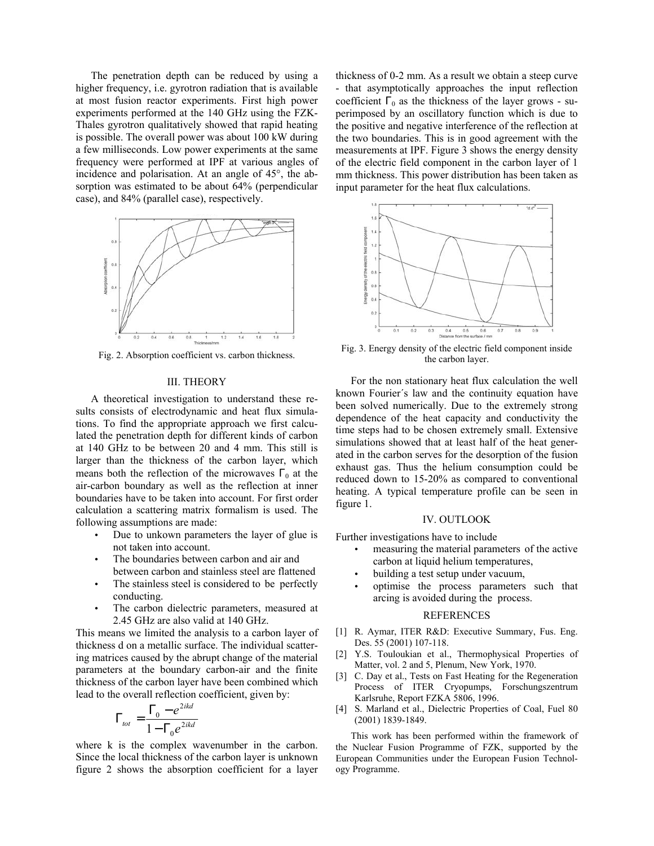The penetration depth can be reduced by using a higher frequency, i.e. gyrotron radiation that is available at most fusion reactor experiments. First high power experiments performed at the 140 GHz using the FZK-Thales gyrotron qualitatively showed that rapid heating is possible. The overall power was about 100 kW during a few milliseconds. Low power experiments at the same frequency were performed at IPF at various angles of incidence and polarisation. At an angle of 45°, the absorption was estimated to be about 64% (perpendicular case), and 84% (parallel case), respectively.



Fig. 2. Absorption coefficient vs. carbon thickness.

#### III. THEORY

A theoretical investigation to understand these results consists of electrodynamic and heat flux simulations. To find the appropriate approach we first calculated the penetration depth for different kinds of carbon at 140 GHz to be between 20 and 4 mm. This still is larger than the thickness of the carbon layer, which means both the reflection of the microwaves  $\Gamma_0$  at the air-carbon boundary as well as the reflection at inner boundaries have to be taken into account. For first order calculation a scattering matrix formalism is used. The following assumptions are made:

- Due to unkown parameters the layer of glue is not taken into account. •
- The boundaries between carbon and air and between carbon and stainless steel are flattened
- The stainless steel is considered to be perfectly conducting.
- The carbon dielectric parameters, measured at 2.45 GHz are also valid at 140 GHz.

This means we limited the analysis to a carbon layer of thickness d on a metallic surface. The individual scattering matrices caused by the abrupt change of the material parameters at the boundary carbon-air and the finite thickness of the carbon layer have been combined which lead to the overall reflection coefficient, given by:

$$
\Gamma_{\text{tot}} = \frac{\Gamma_{\text{o}} - e^{2ikd}}{1 - \Gamma_{\text{o}}e^{2ikd}}
$$

where k is the complex wavenumber in the carbon. Since the local thickness of the carbon layer is unknown figure 2 shows the absorption coefficient for a layer thickness of 0-2 mm. As a result we obtain a steep curve - that asymptotically approaches the input reflection coefficient  $\Gamma_0$  as the thickness of the layer grows - superimposed by an oscillatory function which is due to the positive and negative interference of the reflection at the two boundaries. This is in good agreement with the measurements at IPF. Figure 3 shows the energy density of the electric field component in the carbon layer of 1 mm thickness. This power distribution has been taken as input parameter for the heat flux calculations.



Fig. 3. Energy density of the electric field component inside the carbon layer.

For the non stationary heat flux calculation the well known Fourier´s law and the continuity equation have been solved numerically. Due to the extremely strong dependence of the heat capacity and conductivity the time steps had to be chosen extremely small. Extensive simulations showed that at least half of the heat generated in the carbon serves for the desorption of the fusion exhaust gas. Thus the helium consumption could be reduced down to 15-20% as compared to conventional heating. A typical temperature profile can be seen in figure 1.

## IV. OUTLOOK

Further investigations have to include

- measuring the material parameters of the active carbon at liquid helium temperatures, •
- building a test setup under vacuum,
- optimise the process parameters such that arcing is avoided during the process.

### REFERENCES

- [1] R. Aymar, ITER R&D: Executive Summary, Fus. Eng. Des. 55 (2001) 107-118.
- [2] Y.S. Touloukian et al., Thermophysical Properties of Matter, vol. 2 and 5, Plenum, New York, 1970.
- [3] C. Day et al., Tests on Fast Heating for the Regeneration Process of ITER Cryopumps, Forschungszentrum Karlsruhe, Report FZKA 5806, 1996.
- [4] S. Marland et al., Dielectric Properties of Coal, Fuel 80 (2001) 1839-1849.

This work has been performed within the framework of the Nuclear Fusion Programme of FZK, supported by the European Communities under the European Fusion Technology Programme.